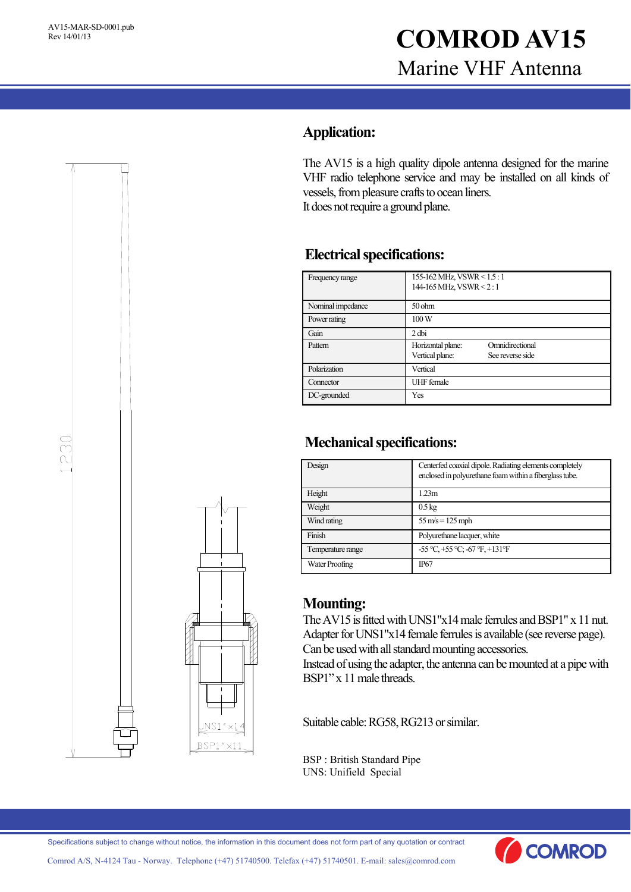# AV15-MAR-SD-0001.pub<br>Rev 14/01/13<br>**COMROD AV15** Marine VHF Antenna

## **Application:**

The AV15 is a high quality dipole antenna designed for the marine VHF radio telephone service and may be installed on all kinds of vessels, from pleasure crafts to ocean liners. It does not require a ground plane.

### **Electrical specifications:**

| Frequency range   | 155-162 MHz, VSWR < 1.5 : 1<br>144-165 MHz, VSWR < 2:1 |                                     |
|-------------------|--------------------------------------------------------|-------------------------------------|
| Nominal impedance | $50$ ohm                                               |                                     |
| Power rating      | 100W                                                   |                                     |
| Gain              | $2$ dbi                                                |                                     |
| Pattern           | Horizontal plane:<br>Vertical plane:                   | Omnidirectional<br>See reverse side |
| Polarization      | Vertical                                               |                                     |
| Connector         | <b>UHF</b> female                                      |                                     |
| DC-grounded       | Yes                                                    |                                     |

### **Mechanical specifications:**

| Design            | Centerfed coaxial dipole. Radiating elements completely<br>enclosed in polyurethane foam within a fiberglass tube. |  |
|-------------------|--------------------------------------------------------------------------------------------------------------------|--|
| Height            | 1.23m                                                                                                              |  |
| Weight            | $0.5 \text{ kg}$                                                                                                   |  |
| Wind rating       | $55 \text{ m/s} = 125 \text{ mph}$                                                                                 |  |
| Finish            | Polyurethane lacquer, white                                                                                        |  |
| Temperature range | $-55^{\circ}C$ , $+55^{\circ}C$ ; $-67^{\circ}F$ , $+131^{\circ}F$                                                 |  |
| Water Proofing    | <b>IP67</b>                                                                                                        |  |

#### **Mounting:**

The AV15 is fitted with UNS1"x14 male ferrules and BSP1" x 11 nut. Adapter for UNS1"x14 female ferrules is available (see reverse page). Can be used with all standard mounting accessories.

Instead of using the adapter, the antenna can be mounted at a pipe with BSP1" x 11 male threads.

Suitable cable: RG58, RG213 or similar.

BSP : British Standard Pipe UNS: Unifield Special





Comrod A/S, N-4124 Tau - Norway. Telephone (+47) 51740500. Telefax (+47) 51740501. E-mail: sales@comrod.com